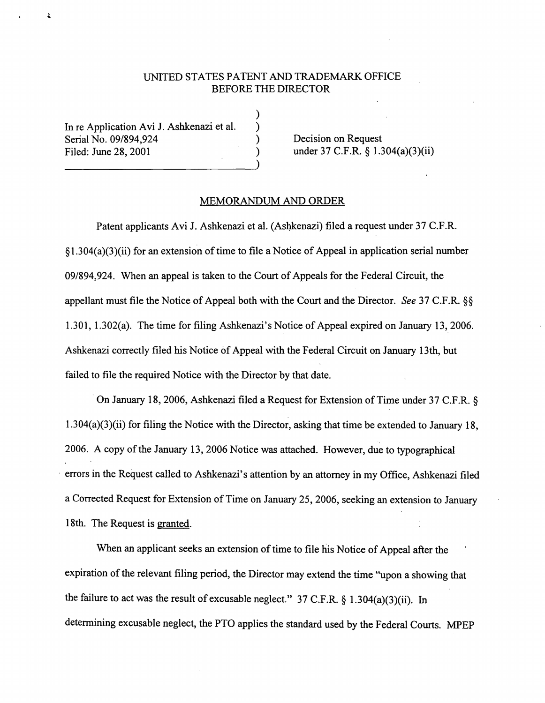## UNITED STATES PATENT AND TRADEMARK OFFICE BEFORE THE DIRECTOR

) ) ) )

In re Application Avi J. Ashkenazi et al. Serial No. 09/894,924 Filed: June 28, 2001

ì

Decision on Request under 37 C.F.R. § 1.304(a)(3)(ii)

## MEMORANDUM AND ORDER

Patent applicants Avi J. Ashkenazi et al. (Ashkenazi) filed a request under 37 C.F.R. §l.304(a)(3)(ii) for an extension of time to file a Notice of Appeal in application serial number 09/894,924. When an appeal is taken to the Court of Appeals for the Federal Circuit, the appellant must file the Notice of Appeal both with the Court and the Director. *See* 37 C.F.R. §§ 1.301, l.302(a). The time for filing Ashkenazi's Notice of Appeal expired on January 13, 2006. Ashkenazi correctly filed his Notice of Appeal with the Federal Circuit on January 13th, but failed to file the required Notice with the Director by that date.

· On January 18, 2006, Ashkenazi filed a Request for Extension of Time under 37 C.F.R. § 1.304(a)(3)(ii) for filing the Notice with the Director, asking that time be extended to January 18, 2006. A copy of the January 13, 2006 Notice was attached. However, due to typographical errors in the Request called to Ashkenazi's attention by an attorney in my Office, Ashkenazi filed a Corrected Request for Extension of Time on January 25, 2006, seeking an extension to January 18th. The Request is granted.

When an applicant seeks an extension of time to file his Notice of Appeal after the expiration of the relevant filing period, the Director may extend the time "upon a showing that the failure to act was the result of excusable neglect." 37 C.F.R. § 1.304(a)(3)(ii). In determining excusable neglect, the PTO applies the standard used by the Federal Courts. MPEP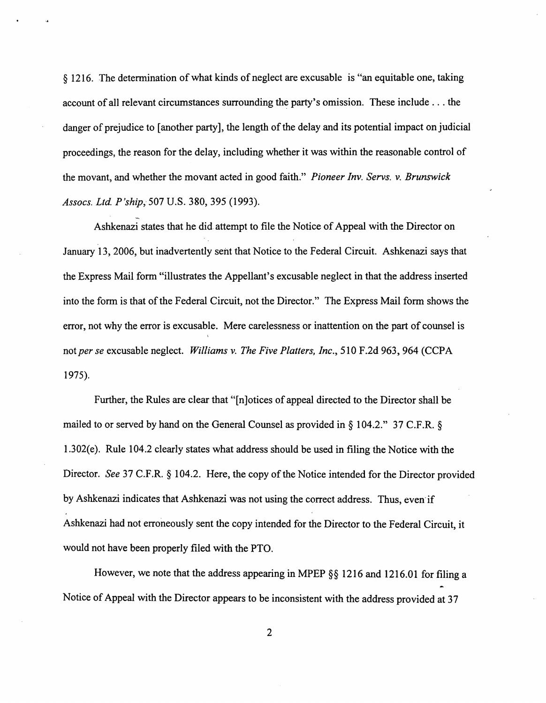§ 1216. The determination of what kinds of neglect are excusable is "an equitable one, taking account of all relevant circumstances surrounding the party's omission. These include ... the danger of prejudice to [another party], the length of the delay and its potential impact on judicial proceedings, the reason for the delay, including whether it was within the reasonable control of the movant, and whether the movant acted in good faith." *Pioneer Inv. Servs.* v. *Brunswick Assocs. Ltd. P 'ship,-* 507 U.S. **380,** 395 (1993).

Ashkenazi states that he did attempt to file the Notice of Appeal with the Director on January 13, 2006, but inadvertently sent that Notice to the Federal Circuit. Ashkenazi says that the Express Mail form "illustrates the Appellant's excusable neglect in that the address inserted into the form is that of the Federal Circuit, not the Director." The Express Mail form shows the error, not why the error is excusable. Mere carelessness or inattention on the part of counsel is not *per se* excusable neglect. *Williams* v. *The Five Platters, Inc.,* 510 F.2d 963,964 (CCPA 1975).

Further, the Rules are clear that "[n]otices of appeal directed to the Director shall be mailed to or served by hand on the General Counsel as provided in § 104.2." 37 C.F.R. § 1.302(e). Rule 104.2 clearly states what address should be used in filing the Notice with the Director. *See* 37 C.F.R. § 104.2. Here, the copy of the Notice intended for the Director provided by Ashkenazi indicates that Ashkenazi was not using the correct address. Thus, even if Ashkenazi had not erroneously sent the copy intended for the Director to the Federal Circuit, it would not have been properly filed with the PTO.

However, we note that the address appearing in MPEP §§ 1216 and 1216.01 for filing a Notice of Appeal with the Director appears to be inconsistent with the address provided at 37

2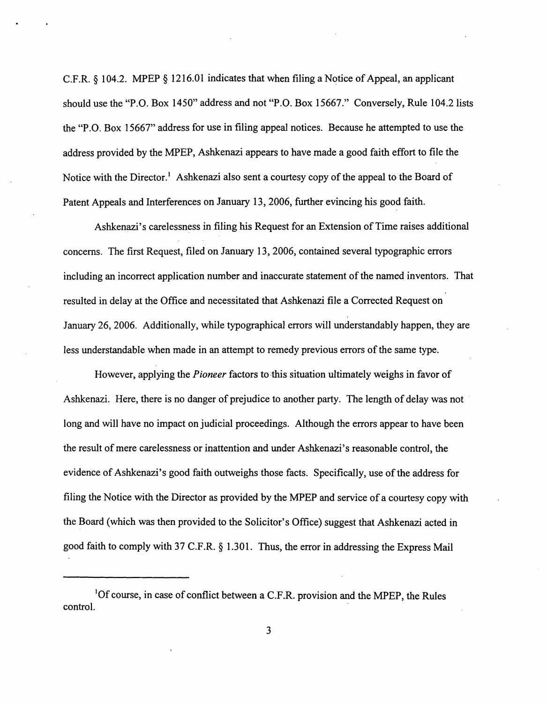C.F.R.  $\S$  104.2. MPEP  $\S$  1216.01 indicates that when filing a Notice of Appeal, an applicant should use the "P.O. Box 1450" address and not "P.O. Box 15667." Conversely, Rule 104.2 lists the "P.O. Box 15667" address for use in filing appeal notices. Because he attempted to use the address provided by the MPEP, Ashkenazi appears to have made a good faith effort to file the Notice with the Director.<sup>1</sup> Ashkenazi also sent a courtesy copy of the appeal to the Board of Patent Appeals and Interferences on January 13, 2006, further evincing his good faith.

Ashkenazi's carelessness in filing his Request for an Extension of Time raises additional concerns. The first Request, filed on January 13, 2006, contained several typographic errors including an incorrect application number and inaccurate statement of the named inventors. That resulted in delay at the Office and necessitated that Ashkenazi file a Corrected Request on January 26, 2006. Additionally, while typographical errors will understandably happen, they are less understandable when made in an attempt to remedy previous errors of the same type.

However, applying the *Pioneer* factors to-this situation ultimately weighs in favor of Ashkenazi. Here, there is no danger of prejudice to another party. The length of delay was not long and will have no impact on judicial proceedings. Although the errors appear to have been the result of mere carelessness or inattention and under Ashkenazi's reasonable control, the evidence of Ashkenazi's good faith outweighs those facts. Specifically, use of the address for filing the Notice with the Director as provided by the MPEP and service of a courtesy copy with the Board (which was then provided to the Solicitor's Office) suggest that Ashkenazi acted in good faith to comply with 37 C.F.R. § 1.301. Thus, the error in addressing the Express Mail

<sup>1</sup>Of course, in case of conflict between a C.F .R. provision and the MPEP, the Rules control.